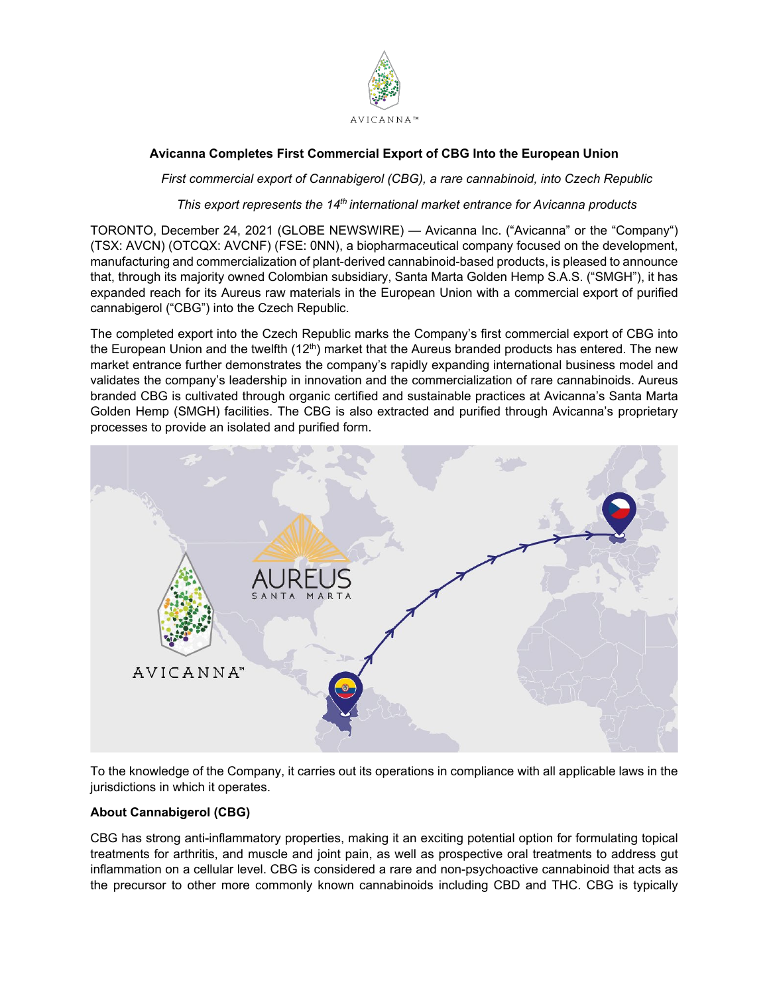

# **Avicanna Completes First Commercial Export of CBG Into the European Union**

*First commercial export of Cannabigerol (CBG), a rare cannabinoid, into Czech Republic*

*This export represents the 14th international market entrance for Avicanna products*

TORONTO, December 24, 2021 (GLOBE NEWSWIRE) — Avicanna Inc. ("Avicanna" or the "Company") (TSX: AVCN) (OTCQX: AVCNF) (FSE: 0NN), a biopharmaceutical company focused on the development, manufacturing and commercialization of plant-derived cannabinoid-based products, is pleased to announce that, through its majority owned Colombian subsidiary, Santa Marta Golden Hemp S.A.S. ("SMGH"), it has expanded reach for its Aureus raw materials in the European Union with a commercial export of purified cannabigerol ("CBG") into the Czech Republic.

The completed export into the Czech Republic marks the Company's first commercial export of CBG into the European Union and the twelfth  $(12<sup>th</sup>)$  market that the Aureus branded products has entered. The new market entrance further demonstrates the company's rapidly expanding international business model and validates the company's leadership in innovation and the commercialization of rare cannabinoids. Aureus branded CBG is cultivated through organic certified and sustainable practices at Avicanna's Santa Marta Golden Hemp (SMGH) facilities. The CBG is also extracted and purified through Avicanna's proprietary processes to provide an isolated and purified form.



To the knowledge of the Company, it carries out its operations in compliance with all applicable laws in the jurisdictions in which it operates.

## **About Cannabigerol (CBG)**

CBG has strong anti-inflammatory properties, making it an exciting potential option for formulating topical treatments for arthritis, and muscle and joint pain, as well as prospective oral treatments to address gut inflammation on a cellular level. CBG is considered a rare and non-psychoactive cannabinoid that acts as the precursor to other more commonly known cannabinoids including CBD and THC. CBG is typically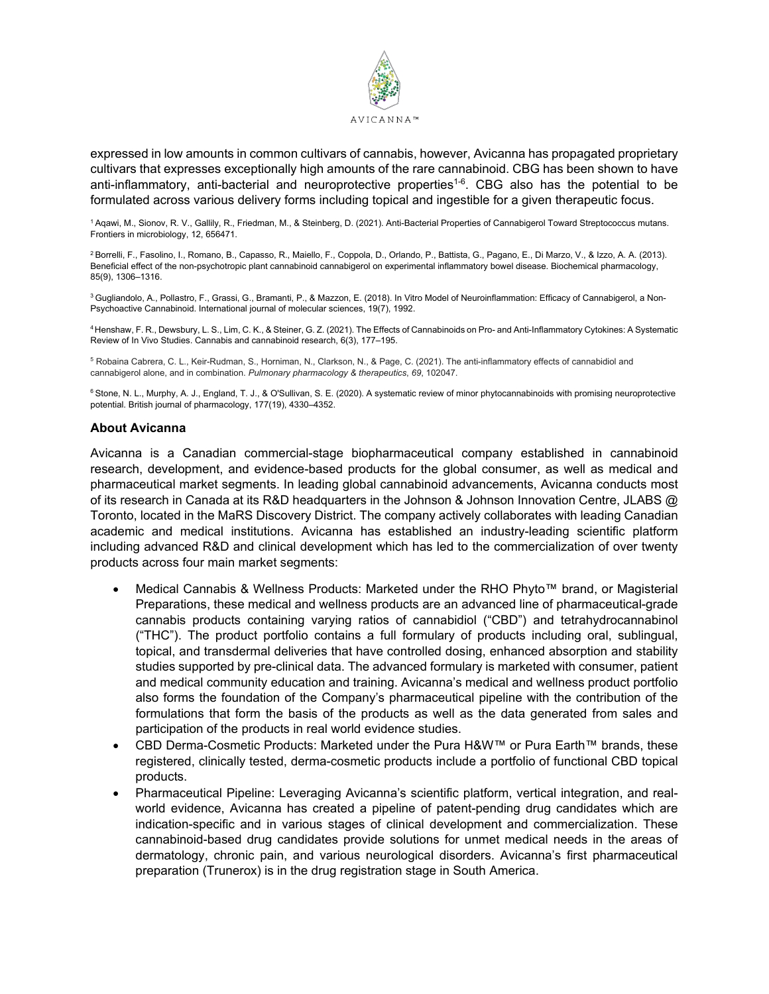

expressed in low amounts in common cultivars of cannabis, however, Avicanna has propagated proprietary cultivars that expresses exceptionally high amounts of the rare cannabinoid. CBG has been shown to have anti-inflammatory, anti-bacterial and neuroprotective properties<sup>1-6</sup>. CBG also has the potential to be formulated across various delivery forms including topical and ingestible for a given therapeutic focus.

1 Aqawi, M., Sionov, R. V., Gallily, R., Friedman, M., & Steinberg, D. (2021). Anti-Bacterial Properties of Cannabigerol Toward Streptococcus mutans. Frontiers in microbiology, 12, 656471.

2 Borrelli, F., Fasolino, I., Romano, B., Capasso, R., Maiello, F., Coppola, D., Orlando, P., Battista, G., Pagano, E., Di Marzo, V., & Izzo, A. A. (2013). Beneficial effect of the non-psychotropic plant cannabinoid cannabigerol on experimental inflammatory bowel disease. Biochemical pharmacology, 85(9), 1306–1316.

<sup>3</sup> Gugliandolo, A., Pollastro, F., Grassi, G., Bramanti, P., & Mazzon, E. (2018). In Vitro Model of Neuroinflammation: Efficacy of Cannabigerol, a Non-Psychoactive Cannabinoid. International journal of molecular sciences, 19(7), 1992.

4 Henshaw, F. R., Dewsbury, L. S., Lim, C. K., & Steiner, G. Z. (2021). The Effects of Cannabinoids on Pro- and Anti-Inflammatory Cytokines: A Systematic Review of In Vivo Studies. Cannabis and cannabinoid research, 6(3), 177–195.

<sup>5</sup> Robaina Cabrera, C. L., Keir-Rudman, S., Horniman, N., Clarkson, N., & Page, C. (2021). The anti-inflammatory effects of cannabidiol and cannabigerol alone, and in combination. *Pulmonary pharmacology & therapeutics*, *69*, 102047.

<sup>6</sup> Stone, N. L., Murphy, A. J., England, T. J., & O'Sullivan, S. E. (2020). A systematic review of minor phytocannabinoids with promising neuroprotective potential. British journal of pharmacology, 177(19), 4330–4352.

#### **About Avicanna**

Avicanna is a Canadian commercial-stage biopharmaceutical company established in cannabinoid research, development, and evidence-based products for the global consumer, as well as medical and pharmaceutical market segments. In leading global cannabinoid advancements, Avicanna conducts most of its research in Canada at its R&D headquarters in the Johnson & Johnson Innovation Centre, JLABS @ Toronto, located in the MaRS Discovery District. The company actively collaborates with leading Canadian academic and medical institutions. Avicanna has established an industry-leading scientific platform including advanced R&D and clinical development which has led to the commercialization of over twenty products across four main market segments:

- Medical Cannabis & Wellness Products: Marketed under the RHO Phyto™ brand, or Magisterial Preparations, these medical and wellness products are an advanced line of pharmaceutical-grade cannabis products containing varying ratios of cannabidiol ("CBD") and tetrahydrocannabinol ("THC"). The product portfolio contains a full formulary of products including oral, sublingual, topical, and transdermal deliveries that have controlled dosing, enhanced absorption and stability studies supported by pre-clinical data. The advanced formulary is marketed with consumer, patient and medical community education and training. Avicanna's medical and wellness product portfolio also forms the foundation of the Company's pharmaceutical pipeline with the contribution of the formulations that form the basis of the products as well as the data generated from sales and participation of the products in real world evidence studies.
- CBD Derma-Cosmetic Products: Marketed under the Pura H&W™ or Pura Earth™ brands, these registered, clinically tested, derma-cosmetic products include a portfolio of functional CBD topical products.
- Pharmaceutical Pipeline: Leveraging Avicanna's scientific platform, vertical integration, and realworld evidence, Avicanna has created a pipeline of patent-pending drug candidates which are indication-specific and in various stages of clinical development and commercialization. These cannabinoid-based drug candidates provide solutions for unmet medical needs in the areas of dermatology, chronic pain, and various neurological disorders. Avicanna's first pharmaceutical preparation (Trunerox) is in the drug registration stage in South America.